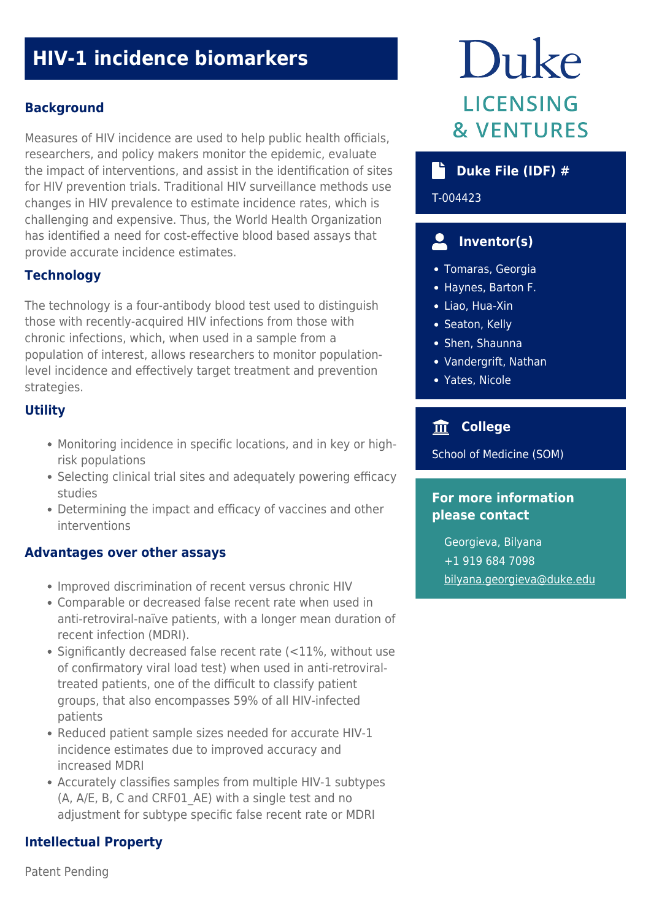# **HIV-1 incidence biomarkers**

# **Background**

Measures of HIV incidence are used to help public health officials, researchers, and policy makers monitor the epidemic, evaluate the impact of interventions, and assist in the identification of sites for HIV prevention trials. Traditional HIV surveillance methods use changes in HIV prevalence to estimate incidence rates, which is challenging and expensive. Thus, the World Health Organization has identified a need for cost-effective blood based assays that provide accurate incidence estimates.

# **Technology**

The technology is a four-antibody blood test used to distinguish those with recently-acquired HIV infections from those with chronic infections, which, when used in a sample from a population of interest, allows researchers to monitor populationlevel incidence and effectively target treatment and prevention strategies.

# **Utility**

- Monitoring incidence in specific locations, and in key or highrisk populations
- Selecting clinical trial sites and adequately powering efficacy studies
- Determining the impact and efficacy of vaccines and other interventions

#### **Advantages over other assays**

- Improved discrimination of recent versus chronic HIV
- Comparable or decreased false recent rate when used in anti-retroviral-naïve patients, with a longer mean duration of recent infection (MDRI).
- Significantly decreased false recent rate (<11%, without use of confirmatory viral load test) when used in anti-retroviraltreated patients, one of the difficult to classify patient groups, that also encompasses 59% of all HIV-infected patients
- Reduced patient sample sizes needed for accurate HIV-1 incidence estimates due to improved accuracy and increased MDRI
- Accurately classifies samples from multiple HIV-1 subtypes (A, A/E, B, C and CRF01 AE) with a single test and no adjustment for subtype specific false recent rate or MDRI

# **Intellectual Property**

Duke **LICENSING & VENTURES** 

# **Duke File (IDF) #**

T-004423

#### $\mathbf{L}$  **Inventor(s)**

- Tomaras, Georgia
- Haynes, Barton F.
- Liao, Hua-Xin
- Seaton, Kelly
- Shen, Shaunna
- Vandergrift, Nathan
- Yates, Nicole

# **College**

School of Medicine (SOM)

### **For more information please contact**

Georgieva, Bilyana +1 919 684 7098 [bilyana.georgieva@duke.edu](mailto:bilyana.georgieva@duke.edu)

Patent Pending